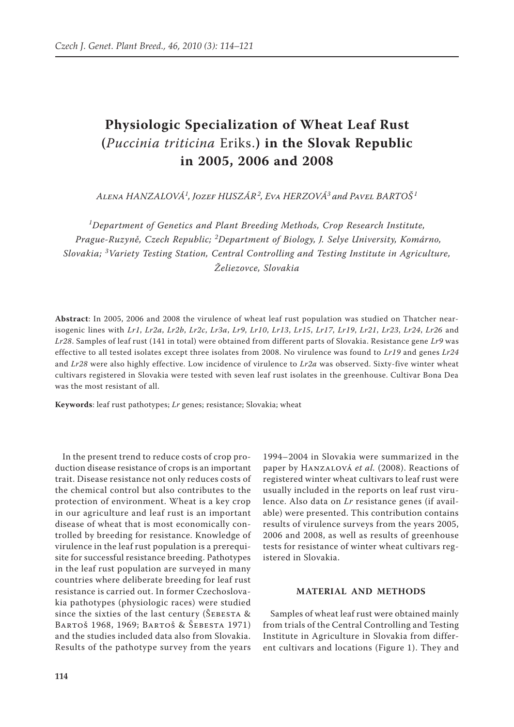# **Physiologic Specialization of Wheat Leaf Rust (***Puccinia triticina* Eriks.**) in the Slovak Republic in 2005, 2006 and 2008**

*Alena Hanzalová<sup>1</sup> , Jozef Huszár<sup>2</sup> , Eva Herzová<sup>3</sup> and Pavel Bartoš <sup>1</sup>*

*1 Department of Genetics and Plant Breeding Methods, Crop Research Institute, Prague-Ruzyně, Czech Republic; <sup>2</sup> Department of Biology, J. Selye University, Komárno, Slovakia; <sup>3</sup> Variety Testing Station, Central Controlling and Testing Institute in Agriculture, Želiezovce, Slovakia*

**Abstract**: In 2005, 2006 and 2008 the virulence of wheat leaf rust population was studied on Thatcher nearisogenic lines with *Lr1*, *Lr2a*, *Lr2b*, *Lr2c*, *Lr3a*, *Lr9*, *Lr10*, *Lr13*, *Lr15*, *Lr17*, *Lr19*, *Lr21*, *Lr23*, *Lr24*, *Lr26* and *Lr28*. Samples of leaf rust (141 in total) were obtained from different parts of Slovakia. Resistance gene *Lr9* was effective to all tested isolates except three isolates from 2008. No virulence was found to *Lr19* and genes *Lr24* and *Lr28* were also highly effective. Low incidence of virulence to *Lr2a* was observed. Sixty-five winter wheat cultivars registered in Slovakia were tested with seven leaf rust isolates in the greenhouse. Cultivar Bona Dea was the most resistant of all.

**Keywords**: leaf rust pathotypes; *Lr* genes; resistance; Slovakia; wheat

In the present trend to reduce costs of crop production disease resistance of crops is an important trait. Disease resistance not only reduces costs of the chemical control but also contributes to the protection of environment. Wheat is a key crop in our agriculture and leaf rust is an important disease of wheat that is most economically controlled by breeding for resistance. Knowledge of virulence in the leaf rust population is a prerequisite for successful resistance breeding. Pathotypes in the leaf rust population are surveyed in many countries where deliberate breeding for leaf rust resistance is carried out. In former Czechoslovakia pathotypes (physiologic races) were studied since the sixties of the last century ( $\text{\r{S}EBESTA}$  & Bartoš 1968, 1969; Bartoš & Šebesta 1971) and the studies included data also from Slovakia. Results of the pathotype survey from the years

1994–2004 in Slovakia were summarized in the paper by Hanzalová *et al.* (2008). Reactions of registered winter wheat cultivars to leaf rust were usually included in the reports on leaf rust virulence. Also data on *Lr* resistance genes (if available) were presented. This contribution contains results of virulence surveys from the years 2005, 2006 and 2008, as well as results of greenhouse tests for resistance of winter wheat cultivars registered in Slovakia.

## **MATERIAL AND METHODS**

Samples of wheat leaf rust were obtained mainly from trials of the Central Controlling and Testing Institute in Agriculture in Slovakia from different cultivars and locations (Figure 1). They and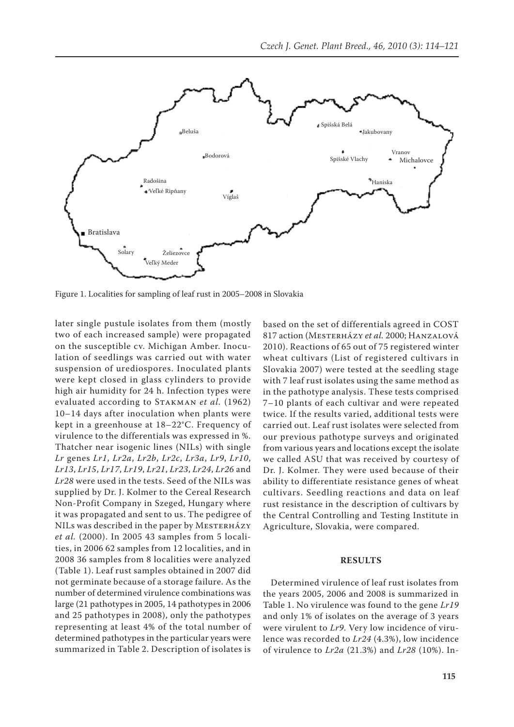

Figure 1. Localities for sampling of leaf rust in 2005–2008 in Slovakia

later single pustule isolates from them (mostly two of each increased sample) were propagated on the susceptible cv. Michigan Amber. Inoculation of seedlings was carried out with water suspension of urediospores. Inoculated plants were kept closed in glass cylinders to provide high air humidity for 24 h. Infection types were evaluated according to Stakman *et al.* (1962) 10–14 days after inoculation when plants were kept in a greenhouse at 18–22°C. Frequency of virulence to the differentials was expressed in %. Thatcher near isogenic lines (NILs) with single *Lr* genes *Lr1*, *Lr2a*, *Lr2b*, *Lr2c*, *Lr3a*, *Lr9*, *Lr10*, *Lr13*, *Lr15*, *Lr17*, *Lr19*, *Lr21*, *Lr23*, *Lr24*, *Lr26* and *Lr28* were used in the tests. Seed of the NILs was supplied by Dr. J. Kolmer to the Cereal Research Non-Profit Company in Szeged, Hungary where it was propagated and sent to us. The pedigree of NILs was described in the paper by MESTERHÁZY *et al.* (2000). In 2005 43 samples from 5 localities, in 2006 62 samples from 12 localities, and in 2008 36 samples from 8 localities were analyzed (Table 1). Leaf rust samples obtained in 2007 did not germinate because of a storage failure. As the number of determined virulence combinations was large (21 pathotypes in 2005, 14 pathotypes in 2006 and 25 pathotypes in 2008), only the pathotypes representing at least 4% of the total number of determined pathotypes in the particular years were summarized in Table 2. Description of isolates is

based on the set of differentials agreed in COST 817 action (Mesterházy *et al.* 2000; Hanzalová 2010). Reactions of 65 out of 75 registered winter wheat cultivars (List of registered cultivars in Slovakia 2007) were tested at the seedling stage with 7 leaf rust isolates using the same method as in the pathotype analysis. These tests comprised 7–10 plants of each cultivar and were repeated twice. If the results varied, additional tests were carried out. Leaf rust isolates were selected from our previous pathotype surveys and originated from various years and locations except the isolate we called ASU that was received by courtesy of Dr. J. Kolmer. They were used because of their ability to differentiate resistance genes of wheat cultivars. Seedling reactions and data on leaf rust resistance in the description of cultivars by the Central Controlling and Testing Institute in Agriculture, Slovakia, were compared.

## **RESULTS**

Determined virulence of leaf rust isolates from the years 2005, 2006 and 2008 is summarized in Table 1. No virulence was found to the gene *Lr19* and only 1% of isolates on the average of 3 years were virulent to *Lr9*. Very low incidence of virulence was recorded to *Lr24* (4.3%), low incidence of virulence to *Lr2a* (21.3%) and *Lr28* (10%). In-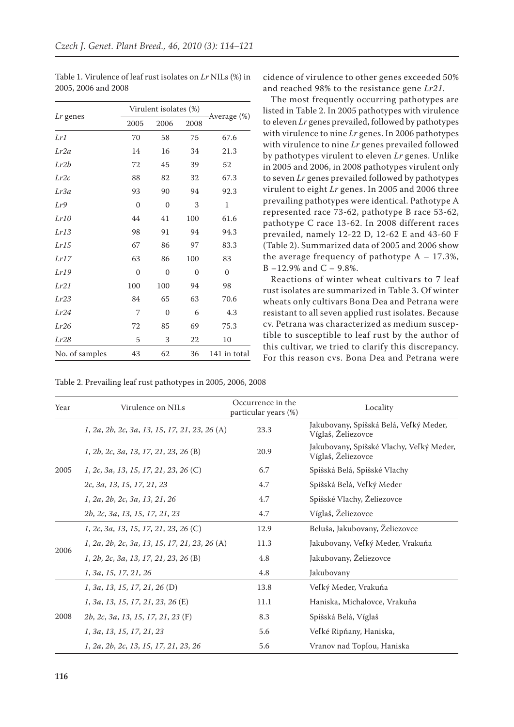|                | Virulent isolates (%) |          |          |              |
|----------------|-----------------------|----------|----------|--------------|
| Lr genes       | 2005                  | 2006     | 2008     | Average (%)  |
| Lr1            | 70                    | 58       | 75       | 67.6         |
| Lr2a           | 14                    | 16       | 34       | 21.3         |
| Lr2b           | 72                    | 45       | 39       | 52           |
| Lr2c           | 88                    | 82       | 32       | 67.3         |
| Lr3a           | 93                    | 90       | 94       | 92.3         |
| Lr9            | $\mathbf{0}$          | $\theta$ | 3        | $\mathbf{1}$ |
| Lr10           | 44                    | 41       | 100      | 61.6         |
| Lr13           | 98                    | 91       | 94       | 94.3         |
| Lr15           | 67                    | 86       | 97       | 83.3         |
| Lr17           | 63                    | 86       | 100      | 83           |
| Lr19           | $\Omega$              | $\Omega$ | $\Omega$ | $\Omega$     |
| Lr21           | 100                   | 100      | 94       | 98           |
| Lr23           | 84                    | 65       | 63       | 70.6         |
| Lr24           | 7                     | $\Omega$ | 6        | 4.3          |
| Lr26           | 72                    | 85       | 69       | 75.3         |
| Lr28           | 5                     | 3        | 22       | 10           |
| No. of samples | 43                    | 62       | 36       | 141 in total |

Table 1. Virulence of leaf rust isolates on *Lr* NILs (%) in 2005, 2006 and 2008

Table 2. Prevailing leaf rust pathotypes in 2005, 2006, 2008

cidence of virulence to other genes exceeded 50% and reached 98% to the resistance gene *Lr21*.

The most frequently occurring pathotypes are listed in Table 2. In 2005 pathotypes with virulence to eleven *Lr* genes prevailed, followed by pathotypes with virulence to nine *Lr* genes. In 2006 pathotypes with virulence to nine *Lr* genes prevailed followed by pathotypes virulent to eleven *Lr* genes. Unlike in 2005 and 2006, in 2008 pathotypes virulent only to seven *Lr* genes prevailed followed by pathotypes virulent to eight *Lr* genes. In 2005 and 2006 three prevailing pathotypes were identical. Pathotype A represented race 73-62, pathotype B race 53-62, pathotype C race 13-62. In 2008 different races prevailed, namely 12-22 D, 12-62 E and 43-60 F (Table 2). Summarized data of 2005 and 2006 show the average frequency of pathotype  $A - 17.3\%$ , B –12.9% and C – 9.8%.

Reactions of winter wheat cultivars to 7 leaf rust isolates are summarized in Table 3. Of winter wheats only cultivars Bona Dea and Petrana were resistant to all seven applied rust isolates. Because cv. Petrana was characterized as medium susceptible to susceptible to leaf rust by the author of this cultivar, we tried to clarify this discrepancy. For this reason cvs. Bona Dea and Petrana were

| Year | Virulence on NILs                               | Occurrence in the<br>particular years (%) | Locality                                                       |
|------|-------------------------------------------------|-------------------------------------------|----------------------------------------------------------------|
|      | 1, 2a, 2b, 2c, 3a, 13, 15, 17, 21, 23, 26 (A)   | 23.3                                      | Jakubovany, Spišská Belá, Veľký Meder,<br>Víglaš, Želiezovce   |
| 2005 | 1, 2b, 2c, 3a, 13, 17, 21, 23, 26 (B)           | 20.9                                      | Jakubovany, Spišské Vlachy, Veľký Meder,<br>Víglaš, Želiezovce |
|      | 1, 2c, 3a, 13, 15, 17, 21, 23, 26 (C)           | 6.7                                       | Spišská Belá, Spišské Vlachy                                   |
|      | 2c, 3a, 13, 15, 17, 21, 23                      | 4.7                                       | Spišská Belá, Veľký Meder                                      |
|      | 1, 2a, 2b, 2c, 3a, 13, 21, 26                   | 4.7                                       | Spišské Vlachy, Želiezovce                                     |
|      | 2b, 2c, 3a, 13, 15, 17, 21, 23                  | 4.7                                       | Víglaš, Želiezovce                                             |
|      | 1, 2c, 3a, 13, 15, 17, 21, 23, 26 (C)           | 12.9                                      | Beluša, Jakubovany, Želiezovce                                 |
| 2006 | $1, 2a, 2b, 2c, 3a, 13, 15, 17, 21, 23, 26$ (A) | 11.3                                      | Jakubovany, Veľký Meder, Vrakuňa                               |
|      | 1, 2b, 2c, 3a, 13, 17, 21, 23, 26 (B)           | 4.8                                       | Jakubovany, Želiezovce                                         |
|      | 1, 3a, 15, 17, 21, 26                           | 4.8                                       | Jakubovany                                                     |
|      | 1, 3a, 13, 15, 17, 21, 26 (D)                   | 13.8                                      | Veľký Meder, Vrakuňa                                           |
| 2008 | 1, 3a, 13, 15, 17, 21, 23, 26 (E)               | 11.1                                      | Haniska, Michalovce, Vrakuňa                                   |
|      | 2b, 2c, 3a, 13, 15, 17, 21, 23 (F)              | 8.3                                       | Spišská Belá, Víglaš                                           |
|      | 1, 3a, 13, 15, 17, 21, 23                       | 5.6                                       | Veľké Ripňany, Haniska,                                        |
|      | 1, 2a, 2b, 2c, 13, 15, 17, 21, 23, 26           | 5.6                                       | Vranov nad Topľou, Haniska                                     |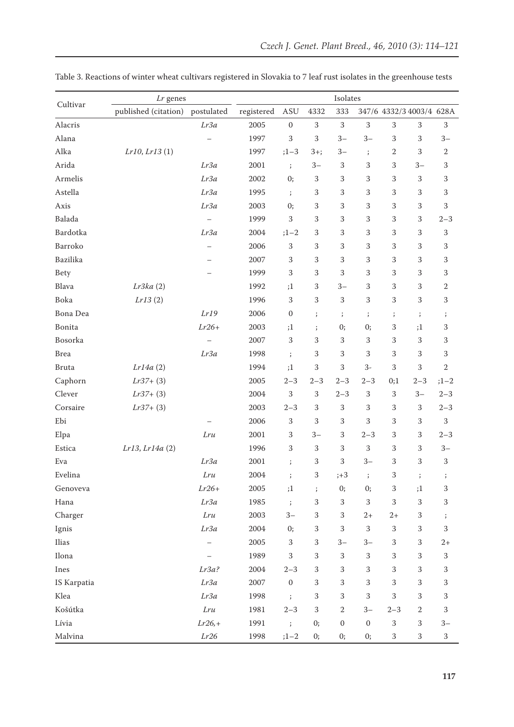| Cultivar     | Lr genes             |                   | Isolates   |                  |                      |                  |                  |              |                          |              |
|--------------|----------------------|-------------------|------------|------------------|----------------------|------------------|------------------|--------------|--------------------------|--------------|
|              | published (citation) | postulated        | registered | ASU              | 4332                 | 333              |                  |              | 347/6 4332/3 4003/4 628A |              |
| Alacris      |                      | Lr3a              | 2005       | $\mathbf{0}$     | 3                    | $\mathbf{3}$     | $\,3$            | 3            | 3                        | $\mathbf{3}$ |
| Alana        |                      |                   | 1997       | 3                | 3                    | $3-$             | $3-$             | 3            | 3                        | $3-$         |
| Alka         | Lr10, Lr13(1)        |                   | 1997       | $;1 - 3$         | $3+;$                | $3-$             | $\cdot$          | $\sqrt{2}$   | 3                        | $\sqrt{2}$   |
| Arida        |                      | Lr3a              | 2001       | $\ddot{i}$       | $3-$                 | 3                | 3                | 3            | $3-$                     | 3            |
| Armelis      |                      | Lr3a              | 2002       | 0;               | 3                    | 3                | 3                | 3            | $\,3$                    | 3            |
| Astella      |                      | Lr3a              | 1995       | $\cdot$          | 3                    | 3                | 3                | 3            | 3                        | 3            |
| Axis         |                      | Lr3a              | 2003       | 0;               | 3                    | 3                | 3                | 3            | 3                        | 3            |
| Balada       |                      |                   | 1999       | $\,$ 3 $\,$      | 3                    | 3                | 3                | 3            | 3                        | $2 - 3$      |
| Bardotka     |                      | Lr3a              | 2004       | $;1 - 2$         | 3                    | 3                | 3                | 3            | 3                        | $\,$ 3 $\,$  |
| Barroko      |                      |                   | 2006       | 3                | 3                    | 3                | 3                | 3            | 3                        | 3            |
| Bazilika     |                      |                   | 2007       | 3                | 3                    | 3                | 3                | 3            | 3                        | 3            |
| Bety         |                      |                   | 1999       | 3                | 3                    | 3                | 3                | 3            | 3                        | 3            |
| Blava        | Lr3ka(2)             |                   | 1992       | ;1               | 3                    | $3-$             | 3                | 3            | 3                        | 2            |
| Boka         | Lr13(2)              |                   | 1996       | 3                | 3                    | 3                | 3                | 3            | 3                        | 3            |
| Bona Dea     |                      | Lr19              | 2006       | $\boldsymbol{0}$ | ;                    | $\cdot$          | $\cdot$          | $\cdot$      | $\vdots$                 | $\cdot$      |
| Bonita       |                      | $Lr26+$           | 2003       | ;1               | $\mathbf{.}$         | 0;               | 0;               | 3            | ;1                       | 3            |
| Bosorka      |                      |                   | 2007       | 3                | 3                    | 3                | 3                | 3            | 3                        | 3            |
| <b>Brea</b>  |                      | Lr3a              | 1998       | $\vdots$         | 3                    | 3                | 3                | 3            | 3                        | 3            |
| <b>Bruta</b> | Lr14a(2)             |                   | 1994       | ;1               | 3                    | 3                | $3-$             | 3            | 3                        | $\,2$        |
| Caphorn      | $Lr37+$ (3)          |                   | 2005       | $2 - 3$          | $2 - 3$              | $2 - 3$          | $2 - 3$          | 0;1          | $2 - 3$                  | $;1 - 2$     |
| Clever       | $Lr37+$ (3)          |                   | 2004       | $\,3$            | 3                    | $2 - 3$          | 3                | 3            | $3-$                     | $2 - 3$      |
| Corsaire     | $Lr37+$ (3)          |                   | 2003       | $2 - 3$          | 3                    | 3                | 3                | 3            | 3                        | $2 - 3$      |
| Ebi          |                      |                   | 2006       | 3                | 3                    | 3                | 3                | 3            | 3                        | $\,3$        |
| Elpa         |                      | Lru               | 2001       | 3                | $3-$                 | 3                | $2 - 3$          | 3            | 3                        | $2 - 3$      |
| Estica       | Lr13, Lr14a (2)      |                   | 1996       | 3                | $\,3$                | 3                | $\,$ 3 $\,$      | 3            | 3                        | $3-$         |
| Eva          |                      | Lr3a              | 2001       | $\vdots$         | 3                    | 3                | $3-$             | 3            | 3                        | 3            |
| Evelina      |                      | Lru               | 2004       |                  | 3                    | $;+3$            | $\ddot{i}$       | 3            | $\ddot{i}$               | $\cdot$      |
| Genoveva     |                      | $Lr26+$           | 2005       | ;1               | $\ddot{\phantom{0}}$ | 0;               | 0;               | $\sqrt{3}$   | ;1                       | $\,$ 3 $\,$  |
| Hana         |                      | Lr3a              | 1985       | $\ddot{i}$       | 3                    | 3                | $\,3$            | 3            | $\,3$                    | $\,$ 3 $\,$  |
| Charger      |                      | $Lru$             | 2003       | $3-$             | $\mathbf{3}$         | 3                | $2+$             | $2+$         | $\,3$                    | $\cdot$      |
| Ignis        |                      | Lr3a              | 2004       | 0;               | 3                    | 3                | $\,3$            | 3            | $\,3$                    | 3            |
| Ilias        |                      | $\qquad \qquad -$ | 2005       | 3                | 3                    | $3-$             | $3-$             | 3            | 3                        | $2+$         |
| Ilona        |                      |                   | 1989       | $\mathbf{3}$     | 3                    | 3                | $\,3$            | 3            | 3                        | $\,3$        |
| Ines         |                      | Lr3a?             | 2004       | $2 - 3$          | 3                    | 3                | 3                | 3            | 3                        | $\,$ 3 $\,$  |
| IS Karpatia  |                      | Lr3a              | 2007       | $\boldsymbol{0}$ | 3                    | 3                | $\,3$            | 3            | 3                        | $\,$ 3 $\,$  |
| Klea         |                      | Lr3a              | 1998       | $\ddot{i}$       | 3                    | 3                | $\,3$            | 3            | 3                        | $\,$ 3 $\,$  |
| Košútka      |                      | Lru               | 1981       | $2 - 3$          | $\,3$                | $\overline{2}$   | $3-$             | $2 - 3$      | 2                        | $\,$ 3 $\,$  |
| Lívia        |                      | $Lr26,+$          | 1991       | $\cdot$          | 0;                   | $\boldsymbol{0}$ | $\boldsymbol{0}$ | $\mathbf{3}$ | 3                        | $3-$         |
| Malvina      |                      | Lr26              | 1998       | $;1 - 2$         | 0;                   | 0;               | 0;               | 3            | $\,3$                    | $\sqrt{3}$   |

Table 3. Reactions of winter wheat cultivars registered in Slovakia to 7 leaf rust isolates in the greenhouse tests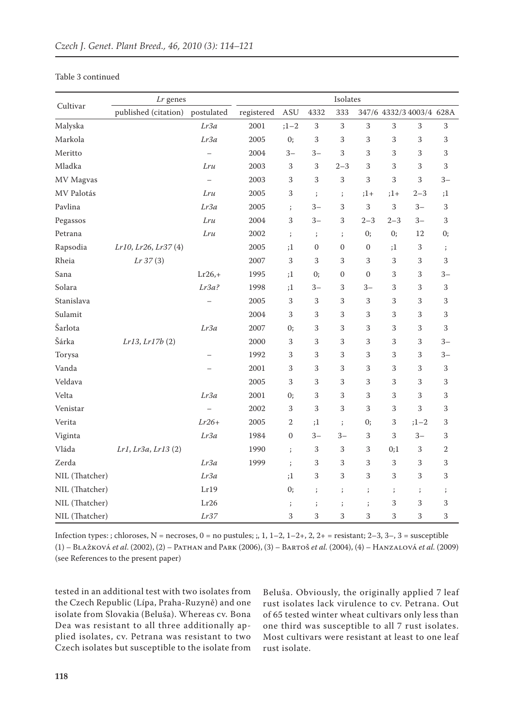## Table 3 continued

| Cultivar       | Lr genes             |                          | Isolates   |              |                  |                      |                  |              |                          |            |
|----------------|----------------------|--------------------------|------------|--------------|------------------|----------------------|------------------|--------------|--------------------------|------------|
|                | published (citation) | postulated               | registered | <b>ASU</b>   | 4332             | 333                  |                  |              | 347/6 4332/3 4003/4 628A |            |
| Malyska        |                      | Lr3a                     | 2001       | $;1 - 2$     | $\mathbf{3}$     | 3                    | $\,3$            | $\mathbf{3}$ | $\,3$                    | $\,3$      |
| Markola        |                      | Lr3a                     | 2005       | 0;           | 3                | 3                    | 3                | 3            | 3                        | 3          |
| Meritto        |                      |                          | 2004       | $3-$         | $3-$             | 3                    | 3                | 3            | 3                        | 3          |
| Mladka         |                      | Lru                      | 2003       | 3            | 3                | $2 - 3$              | 3                | 3            | 3                        | 3          |
| MV Magvas      |                      | $\overline{\phantom{m}}$ | 2003       | 3            | 3                | 3                    | 3                | 3            | 3                        | $3-$       |
| MV Palotás     |                      | Lru                      | 2005       | 3            | $\vdots$         | $\ddot{i}$           | $;1+$            | $;1+$        | $2 - 3$                  | ;1         |
| Pavlina        |                      | Lr3a                     | 2005       | $\vdots$     | $3-$             | 3                    | $\,3$            | 3            | $3-$                     | 3          |
| Pegassos       |                      | Lru                      | 2004       | 3            | $3-$             | 3                    | $2 - 3$          | $2 - 3$      | $3-$                     | 3          |
| Petrana        |                      | Lru                      | 2002       | $\vdots$     | $\vdots$         | $\vdots$             | 0;               | 0;           | 12                       | 0;         |
| Rapsodia       | Lr10, Lr26, Lr37 (4) |                          | 2005       | ;1           | $\boldsymbol{0}$ | $\mathbf{0}$         | $\boldsymbol{0}$ | ;1           | 3                        | $\cdot$    |
| Rheia          | Lr 37(3)             |                          | 2007       | 3            | 3                | 3                    | 3                | 3            | 3                        | 3          |
| Sana           |                      | $Lr26,+$                 | 1995       | ;1           | 0;               | $\mathbf{0}$         | $\boldsymbol{0}$ | 3            | 3                        | $3-$       |
| Solara         |                      | Lr3a?                    | 1998       | ;1           | $3-$             | 3                    | $3-$             | 3            | 3                        | 3          |
| Stanislava     |                      |                          | 2005       | 3            | 3                | 3                    | 3                | 3            | 3                        | 3          |
| Sulamit        |                      |                          | 2004       | 3            | 3                | 3                    | 3                | 3            | 3                        | 3          |
| Šarlota        |                      | Lr3a                     | 2007       | 0;           | 3                | 3                    | 3                | 3            | 3                        | 3          |
| Šárka          | Lr13, Lr17b(2)       |                          | 2000       | 3            | 3                | 3                    | 3                | 3            | 3                        | $3-$       |
| Torysa         |                      |                          | 1992       | 3            | 3                | 3                    | 3                | 3            | 3                        | $3-$       |
| Vanda          |                      |                          | 2001       | 3            | 3                | 3                    | 3                | 3            | 3                        | 3          |
| Veldava        |                      |                          | 2005       | 3            | 3                | 3                    | 3                | 3            | 3                        | 3          |
| Velta          |                      | Lr3a                     | 2001       | 0;           | 3                | 3                    | 3                | 3            | 3                        | 3          |
| Venistar       |                      | $\overline{\phantom{0}}$ | 2002       | 3            | 3                | 3                    | 3                | 3            | 3                        | 3          |
| Verita         |                      | $Lr26+$                  | 2005       | $\mathbf{2}$ | ;1               | $\ddot{i}$           | 0;               | 3            | $;1 - 2$                 | 3          |
| Viginta        |                      | Lr3a                     | 1984       | $\mathbf{0}$ | $3-$             | $3-$                 | 3                | 3            | $3-$                     | 3          |
| Vláda          | Lr1, Lr3a, Lr13 (2)  |                          | 1990       | $\vdots$     | 3                | 3                    | 3                | 0;1          | $\,$ 3 $\,$              | $\sqrt{2}$ |
| Zerda          |                      | Lr3a                     | 1999       | $\vdots$     | 3                | 3                    | 3                | $\,3$        | 3                        | 3          |
| NIL (Thatcher) |                      | Lr3a                     |            | ;1           | 3                | 3                    | 3                | 3            | 3                        | 3          |
| NIL (Thatcher) |                      | Lr19                     |            | 0;           | $\mathbf{.}$     | $\ddot{\phantom{0}}$ | $\cdot$          | $\vdots$     | $\vdots$                 | $\cdot$    |
| NIL (Thatcher) |                      | Lr26                     |            | $\vdots$     | $\vdots$         | $\mathbf{.}$         | $\vdots$         | 3            | 3                        | 3          |
| NIL (Thatcher) |                      | Lr37                     |            | 3            | 3                | 3                    | 3                | 3            | 3                        | 3          |

Infection types: ; chloroses,  $N =$  necroses,  $0 =$  no pustules; ;, 1, 1-2, 1-2+, 2, 2+ = resistant; 2-3, 3-, 3 = susceptible (1) – Blažková *et al*. (2002), (2) – Pathan and Park (2006), (3) – Bartoš *et al.* (2004), (4) – Hanzalová *et al.* (2009) (see References to the present paper)

tested in an additional test with two isolates from the Czech Republic (Lípa, Praha-Ruzyně) and one isolate from Slovakia (Beluša). Whereas cv. Bona Dea was resistant to all three additionally applied isolates, cv. Petrana was resistant to two Czech isolates but susceptible to the isolate from Beluša. Obviously, the originally applied 7 leaf rust isolates lack virulence to cv. Petrana. Out of 65 tested winter wheat cultivars only less than one third was susceptible to all 7 rust isolates. Most cultivars were resistant at least to one leaf rust isolate.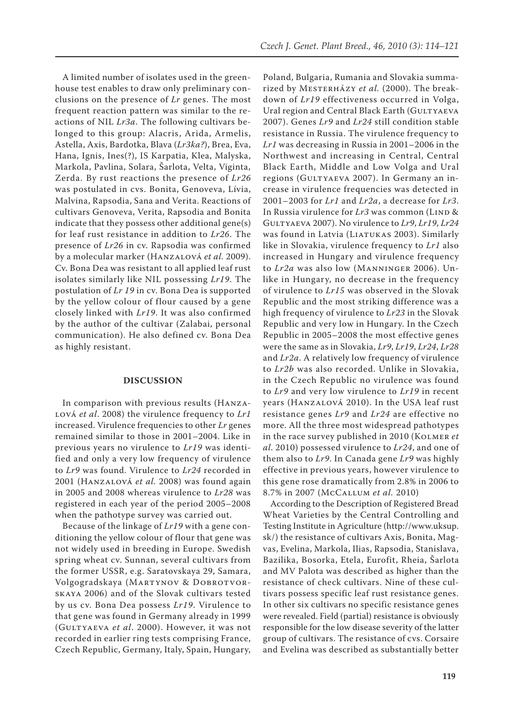A limited number of isolates used in the greenhouse test enables to draw only preliminary conclusions on the presence of *Lr* genes. The most frequent reaction pattern was similar to the reactions of NIL *Lr3a*. The following cultivars belonged to this group: Alacris, Arida, Armelis, Astella, Axis, Bardotka, Blava (*Lr3ka?*), Brea, Eva, Hana, Ignis, Ines(?), IS Karpatia, Klea, Malyska, Markola, Pavlina, Solara, Šarlota, Velta, Viginta, Zerda. By rust reactions the presence of *Lr26*  was postulated in cvs. Bonita, Genoveva, Lívia, Malvina, Rapsodia, Sana and Verita. Reactions of cultivars Genoveva, Verita, Rapsodia and Bonita indicate that they possess other additional gene(s) for leaf rust resistance in addition to *Lr26*. The presence of *Lr26* in cv. Rapsodia was confirmed by a molecular marker (Hanzalová *et al.* 2009). Cv. Bona Dea was resistant to all applied leaf rust isolates similarly like NIL possessing *Lr19*. The postulation of *Lr 19* in cv. Bona Dea is supported by the yellow colour of flour caused by a gene closely linked with *Lr19*. It was also confirmed by the author of the cultivar (Zalabai, personal communication). He also defined cv. Bona Dea as highly resistant.

#### **DISCUSSION**

In comparison with previous results (Hanzalová *et al*. 2008) the virulence frequency to *Lr1* increased. Virulence frequencies to other *Lr* genes remained similar to those in 2001–2004. Like in previous years no virulence to *Lr19* was identified and only a very low frequency of virulence to *Lr9* was found. Virulence to *Lr24* recorded in 2001 (Hanzalová *et al.* 2008) was found again in 2005 and 2008 whereas virulence to *Lr28* was registered in each year of the period 2005–2008 when the pathotype survey was carried out.

Because of the linkage of *Lr19* with a gene conditioning the yellow colour of flour that gene was not widely used in breeding in Europe. Swedish spring wheat cv. Sunnan, several cultivars from the former USSR, e.g. Saratovskaya 29, Samara, Volgogradskaya (MARTYNOV & DOBROTVORskaya 2006) and of the Slovak cultivars tested by us cv. Bona Dea possess *Lr19*. Virulence to that gene was found in Germany already in 1999 (Gultyaeva *et al*. 2000). However, it was not recorded in earlier ring tests comprising France, Czech Republic, Germany, Italy, Spain, Hungary,

Poland, Bulgaria, Rumania and Slovakia summarized by MESTERHÁZY et al. (2000). The breakdown of *Lr19* effectiveness occurred in Volga, Ural region and Central Black Earth (GULTYAEVA 2007). Genes *Lr9* and *Lr24* still condition stable resistance in Russia. The virulence frequency to *Lr1* was decreasing in Russia in 2001–2006 in the Northwest and increasing in Central, Central Black Earth, Middle and Low Volga and Ural regions (GULTYAEVA 2007). In Germany an increase in virulence frequencies was detected in 2001–2003 for *Lr1* and *Lr2a*, a decrease for *Lr3*. In Russia virulence for Lr3 was common (LIND & Gultyaeva 2007). No virulence to *Lr9*, *Lr19*, *Lr24* was found in Latvia (LIATUKAS 2003). Similarly like in Slovakia, virulence frequency to *Lr1* also increased in Hungary and virulence frequency to *Lr2a* was also low (Manninger 2006). Unlike in Hungary, no decrease in the frequency of virulence to *Lr15* was observed in the Slovak Republic and the most striking difference was a high frequency of virulence to *Lr23* in the Slovak Republic and very low in Hungary. In the Czech Republic in 2005–2008 the most effective genes were the same as in Slovakia, *Lr9*, *Lr19*, *Lr24*, *Lr28* and *Lr2a*. A relatively low frequency of virulence to *Lr2b* was also recorded. Unlike in Slovakia, in the Czech Republic no virulence was found to *Lr9* and very low virulence to *Lr19* in recent years (Hanzalová 2010). In the USA leaf rust resistance genes *Lr9* and *Lr24* are effective no more. All the three most widespread pathotypes in the race survey published in 2010 (Kolmer *et al.* 2010) possessed virulence to *Lr24*, and one of them also to *Lr9*. In Canada gene *Lr9* was highly effective in previous years, however virulence to this gene rose dramatically from 2.8% in 2006 to 8.7% in 2007 (McCallum *et al.* 2010)

According to the Description of Registered Bread Wheat Varieties by the Central Controlling and Testing Institute in Agriculture (http://www.uksup. sk/) the resistance of cultivars Axis, Bonita, Magvas, Evelina, Markola, Ilias, Rapsodia, Stanislava, Bazilika, Bosorka, Etela, Eurofit, Rheia, Šarlota and MV Palota was described as higher than the resistance of check cultivars. Nine of these cultivars possess specific leaf rust resistance genes. In other six cultivars no specific resistance genes were revealed. Field (partial) resistance is obviously responsible for the low disease severity of the latter group of cultivars. The resistance of cvs. Corsaire and Evelina was described as substantially better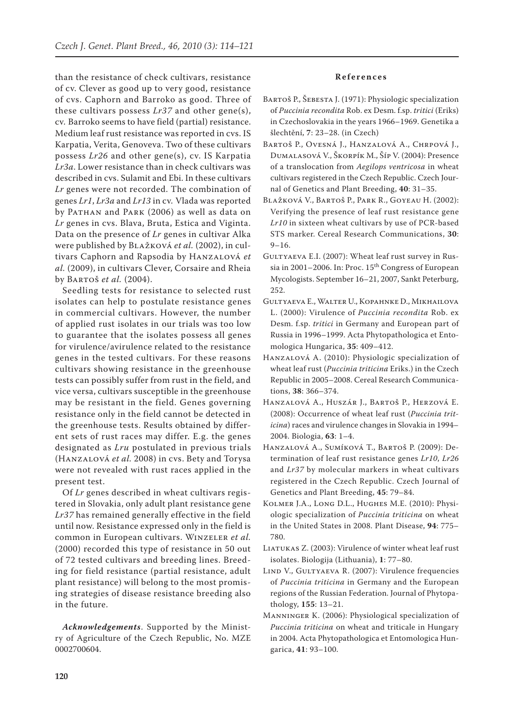than the resistance of check cultivars, resistance of cv. Clever as good up to very good, resistance of cvs. Caphorn and Barroko as good. Three of these cultivars possess *Lr37* and other gene(s), cv. Barroko seems to have field (partial) resistance. Medium leaf rust resistance was reported in cvs. IS Karpatia, Verita, Genoveva. Two of these cultivars possess *Lr26* and other gene(s), cv. IS Karpatia *Lr3a*. Lower resistance than in check cultivars was described in cvs. Sulamit and Ebi. In these cultivars *Lr* genes were not recorded. The combination of genes *Lr1*, *Lr3a* and *Lr13* in cv. Vlada was reported by PATHAN and PARK (2006) as well as data on *Lr* genes in cvs. Blava, Bruta, Estica and Viginta. Data on the presence of *Lr* genes in cultivar Alka were published by Blažková *et al.* (2002), in cultivars Caphorn and Rapsodia by Hanzalová *et al.* (2009), in cultivars Clever, Corsaire and Rheia by Bartoš *et al.* (2004).

Seedling tests for resistance to selected rust isolates can help to postulate resistance genes in commercial cultivars. However, the number of applied rust isolates in our trials was too low to guarantee that the isolates possess all genes for virulence/avirulence related to the resistance genes in the tested cultivars. For these reasons cultivars showing resistance in the greenhouse tests can possibly suffer from rust in the field, and vice versa, cultivars susceptible in the greenhouse may be resistant in the field. Genes governing resistance only in the field cannot be detected in the greenhouse tests. Results obtained by different sets of rust races may differ. E.g. the genes designated as *Lru* postulated in previous trials (Hanzalová *et al.* 2008) in cvs. Bety and Torysa were not revealed with rust races applied in the present test.

Of *Lr* genes described in wheat cultivars registered in Slovakia, only adult plant resistance gene *Lr37* has remained generally effective in the field until now. Resistance expressed only in the field is common in European cultivars. Winzeler *et al.* (2000) recorded this type of resistance in 50 out of 72 tested cultivars and breeding lines. Breeding for field resistance (partial resistance, adult plant resistance) will belong to the most promising strategies of disease resistance breeding also in the future.

*Acknowledgements*. Supported by the Ministry of Agriculture of the Czech Republic, No. MZE 0002700604.

## **R e f e r e n c e s**

- Bartoš P., Šebesta J. (1971): Physiologic specialization of *Puccinia recondita* Rob. ex Desm. f.sp. *tritici* (Eriks) in Czechoslovakia in the years 1966–1969. Genetika a šlechtění, **7**: 23–28. (in Czech)
- Bartoš P., Ovesná J., Hanzalová A., Chrpová J., Dumalasová V., Škorpík M., Šíp V. (2004): Presence of a translocation from *Aegilops ventricosa* in wheat cultivars registered in the Czech Republic. Czech Journal of Genetics and Plant Breeding, **40**: 31–35.
- Blažková V., Bartoš P., Park R., Goyeau H. (2002): Verifying the presence of leaf rust resistance gene *Lr10* in sixteen wheat cultivars by use of PCR-based STS marker. Cereal Research Communications, **30**:  $9 - 16.$
- GULTYAEVA E.I. (2007): Wheat leaf rust survey in Russia in 2001–2006. In: Proc. 15<sup>th</sup> Congress of European Mycologists. September 16–21, 2007, Sankt Peterburg, 252.
- Gultyaeva E., Walter U., Kopahnke D., Mikhailova L. (2000): Virulence of *Puccinia recondita* Rob. ex Desm. f.sp. *tritici* in Germany and European part of Russia in 1996–1999. Acta Phytopathologica et Entomologica Hungarica, **35**: 409–412.
- Hanzalová A. (2010): Physiologic specialization of wheat leaf rust (*Puccinia triticina* Eriks.) in the Czech Republic in 2005–2008. Cereal Research Communications, **38**: 366–374.
- Hanzalová A., Huszár J., Bartoš P., Herzová E. (2008): Occurrence of wheat leaf rust (*Puccinia triticina*) races and virulence changes in Slovakia in 1994– 2004. Biologia, **63**: 1–4.
- Hanzalová A., Sumíková T., Bartoš P. (2009): Determination of leaf rust resistance genes *Lr10*, *Lr26* and *Lr37* by molecular markers in wheat cultivars registered in the Czech Republic. Czech Journal of Genetics and Plant Breeding, **45**: 79–84.
- Kolmer J.A., Long D.L., Hughes M.E. (2010): Physiologic specialization of *Puccinia triticina* on wheat in the United States in 2008. Plant Disease, **94**: 775– 780.
- LIATUKAS Z. (2003): Virulence of winter wheat leaf rust isolates. Biologija (Lithuania), **1**: 77–80.
- LIND V., GULTYAEVA R. (2007): Virulence frequencies of *Puccinia triticina* in Germany and the European regions of the Russian Federation. Journal of Phytopathology, **155**: 13–21.
- Manninger K. (2006): Physiological specialization of *Puccinia triticina* on wheat and triticale in Hungary in 2004. Acta Phytopathologica et Entomologica Hungarica, **41**: 93–100.